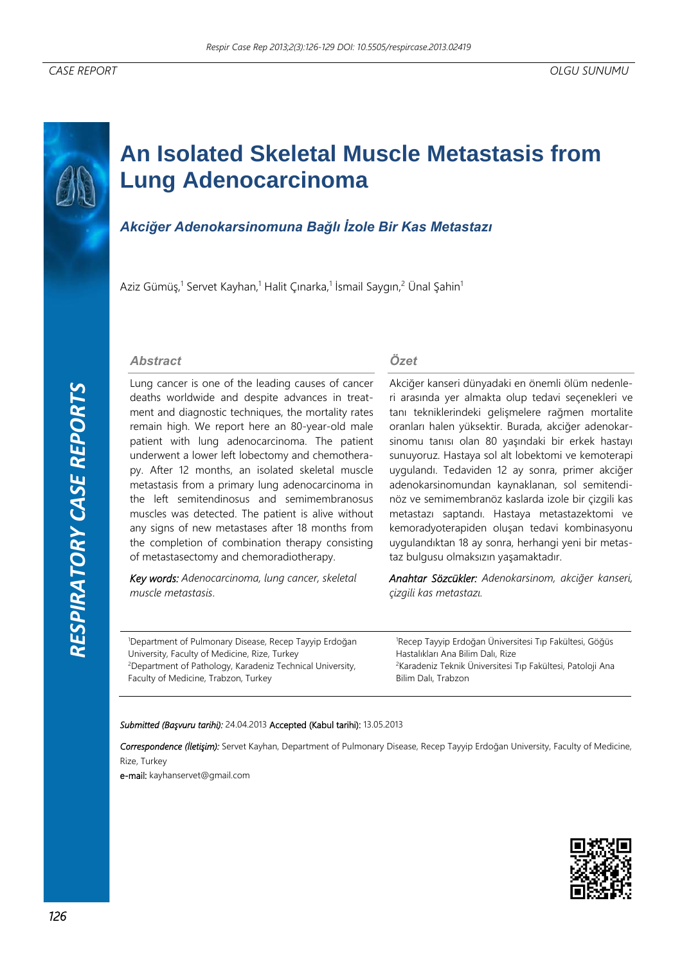# **An Isolated Skeletal Muscle Metastasis from Lung Adenocarcinoma**

## *Akciğer Adenokarsinomuna Bağlı İzole Bir Kas Metastazı*

Aziz Gümüş,<sup>1</sup> Servet Kayhan,<sup>1</sup> Halit Çınarka,<sup>1</sup> İsmail Saygın,<sup>2</sup> Ünal Şahin<sup>1</sup>

#### *Abstract*

Lung cancer is one of the leading causes of cancer deaths worldwide and despite advances in treatment and diagnostic techniques, the mortality rates remain high. We report here an 80-year-old male patient with lung adenocarcinoma. The patient underwent a lower left lobectomy and chemotherapy. After 12 months, an isolated skeletal muscle metastasis from a primary lung adenocarcinoma in the left semitendinosus and semimembranosus muscles was detected. The patient is alive without any signs of new metastases after 18 months from the completion of combination therapy consisting of metastasectomy and chemoradiotherapy.

*Key words: Adenocarcinoma, lung cancer, skeletal muscle metastasis*.

*Özet*

Akciğer kanseri dünyadaki en önemli ölüm nedenleri arasında yer almakta olup tedavi seçenekleri ve tanı tekniklerindeki gelişmelere rağmen mortalite oranları halen yüksektir. Burada, akciğer adenokarsinomu tanısı olan 80 yaşındaki bir erkek hastayı sunuyoruz. Hastaya sol alt lobektomi ve kemoterapi uygulandı. Tedaviden 12 ay sonra, primer akciğer adenokarsinomundan kaynaklanan, sol semitendinöz ve semimembranöz kaslarda izole bir çizgili kas metastazı saptandı. Hastaya metastazektomi ve kemoradyoterapiden oluşan tedavi kombinasyonu uygulandıktan 18 ay sonra, herhangi yeni bir metastaz bulgusu olmaksızın yaşamaktadır.

*Anahtar Sözcükler: Adenokarsinom, akciğer kanseri, çizgili kas metastazı.* 

1 Department of Pulmonary Disease, Recep Tayyip Erdoğan University, Faculty of Medicine, Rize, Turkey 2 Department of Pathology, Karadeniz Technical University, Faculty of Medicine, Trabzon, Turkey

1 Recep Tayyip Erdoğan Üniversitesi Tıp Fakültesi, Göğüs Hastalıkları Ana Bilim Dalı, Rize 2 Karadeniz Teknik Üniversitesi Tıp Fakültesi, Patoloji Ana Bilim Dalı, Trabzon

#### *Submitted (Başvuru tarihi):* 24.04.2013 Accepted (Kabul tarihi): 13.05.2013

*Correspondence (İletişim):* Servet Kayhan, Department of Pulmonary Disease, Recep Tayyip Erdoğan University, Faculty of Medicine, Rize, Turkey

e-mail: kayhanservet@gmail.com

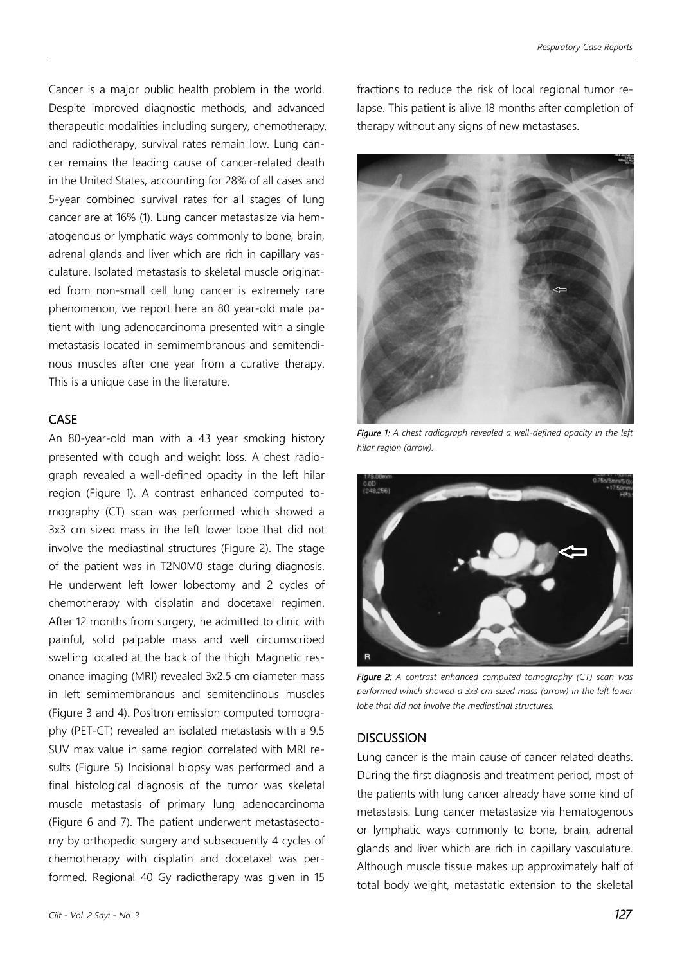Cancer is a major public health problem in the world. Despite improved diagnostic methods, and advanced therapeutic modalities including surgery, chemotherapy, and radiotherapy, survival rates remain low. Lung cancer remains the leading cause of cancer-related death in the United States, accounting for 28% of all cases and 5-year combined survival rates for all stages of lung cancer are at 16% (1). Lung cancer metastasize via hematogenous or lymphatic ways commonly to bone, brain, adrenal glands and liver which are rich in capillary vasculature. Isolated metastasis to skeletal muscle originated from non-small cell lung cancer is extremely rare phenomenon, we report here an 80 year-old male patient with lung adenocarcinoma presented with a single metastasis located in semimembranous and semitendinous muscles after one year from a curative therapy. This is a unique case in the literature.

### CASE

An 80-year-old man with a 43 year smoking history presented with cough and weight loss. A chest radiograph revealed a well-defined opacity in the left hilar region (Figure 1). A contrast enhanced computed tomography (CT) scan was performed which showed a 3x3 cm sized mass in the left lower lobe that did not involve the mediastinal structures (Figure 2). The stage of the patient was in T2N0M0 stage during diagnosis. He underwent left lower lobectomy and 2 cycles of chemotherapy with cisplatin and docetaxel regimen. After 12 months from surgery, he admitted to clinic with painful, solid palpable mass and well circumscribed swelling located at the back of the thigh. Magnetic resonance imaging (MRI) revealed 3x2.5 cm diameter mass in left semimembranous and semitendinous muscles (Figure 3 and 4). Positron emission computed tomography (PET-CT) revealed an isolated metastasis with a 9.5 SUV max value in same region correlated with MRI results (Figure 5) Incisional biopsy was performed and a final histological diagnosis of the tumor was skeletal muscle metastasis of primary lung adenocarcinoma (Figure 6 and 7). The patient underwent metastasectomy by orthopedic surgery and subsequently 4 cycles of chemotherapy with cisplatin and docetaxel was performed. Regional 40 Gy radiotherapy was given in 15 fractions to reduce the risk of local regional tumor relapse. This patient is alive 18 months after completion of therapy without any signs of new metastases.



*Figure 1: A chest radiograph revealed a well-defined opacity in the left hilar region (arrow).* 



*Figure 2: A contrast enhanced computed tomography (CT) scan was performed which showed a 3x3 cm sized mass (arrow) in the left lower lobe that did not involve the mediastinal structures.* 

#### **DISCUSSION**

Lung cancer is the main cause of cancer related deaths. During the first diagnosis and treatment period, most of the patients with lung cancer already have some kind of metastasis. Lung cancer metastasize via hematogenous or lymphatic ways commonly to bone, brain, adrenal glands and liver which are rich in capillary vasculature. Although muscle tissue makes up approximately half of total body weight, metastatic extension to the skeletal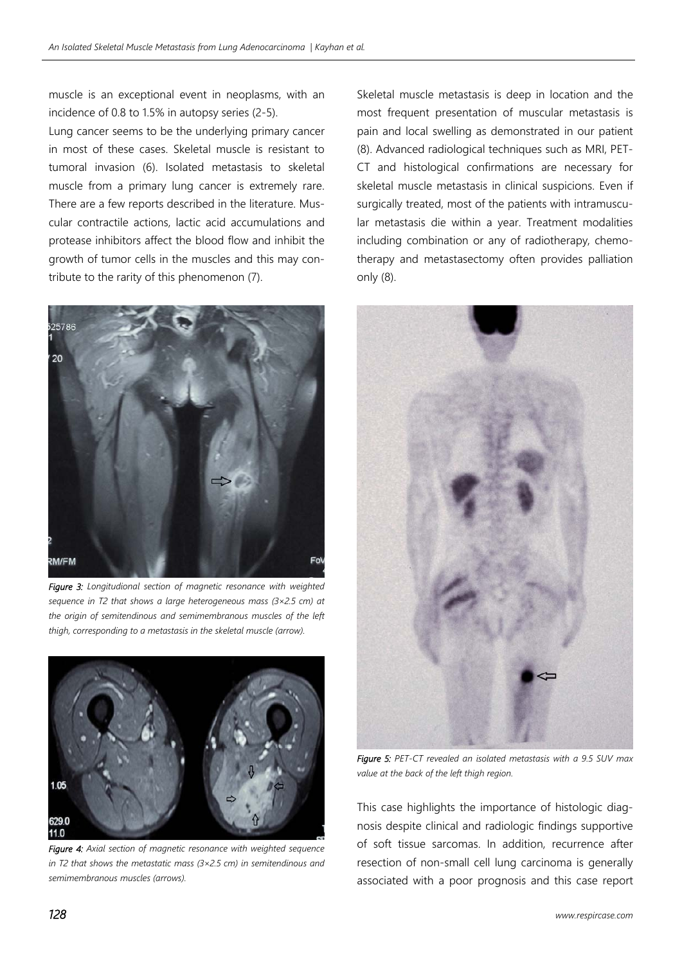muscle is an exceptional event in neoplasms, with an incidence of 0.8 to 1.5% in autopsy series (2-5).

Lung cancer seems to be the underlying primary cancer in most of these cases. Skeletal muscle is resistant to tumoral invasion (6). Isolated metastasis to skeletal muscle from a primary lung cancer is extremely rare. There are a few reports described in the literature. Muscular contractile actions, lactic acid accumulations and protease inhibitors affect the blood flow and inhibit the growth of tumor cells in the muscles and this may contribute to the rarity of this phenomenon (7).



*Figure 3: Longitudional section of magnetic resonance with weighted sequence in T2 that shows a large heterogeneous mass (3×2.5 cm) at the origin of semitendinous and semimembranous muscles of the left thigh, corresponding to a metastasis in the skeletal muscle (arrow).* 



*Figure 4: Axial section of magnetic resonance with weighted sequence in T2 that shows the metastatic mass (3×2.5 cm) in semitendinous and semimembranous muscles (arrows).* 

Skeletal muscle metastasis is deep in location and the most frequent presentation of muscular metastasis is pain and local swelling as demonstrated in our patient (8). Advanced radiological techniques such as MRI, PET-CT and histological confirmations are necessary for skeletal muscle metastasis in clinical suspicions. Even if surgically treated, most of the patients with intramuscular metastasis die within a year. Treatment modalities including combination or any of radiotherapy, chemotherapy and metastasectomy often provides palliation only (8).



*Figure 5: PET-CT revealed an isolated metastasis with a 9.5 SUV max value at the back of the left thigh region.* 

This case highlights the importance of histologic diagnosis despite clinical and radiologic findings supportive of soft tissue sarcomas. In addition, recurrence after resection of non-small cell lung carcinoma is generally associated with a poor prognosis and this case report